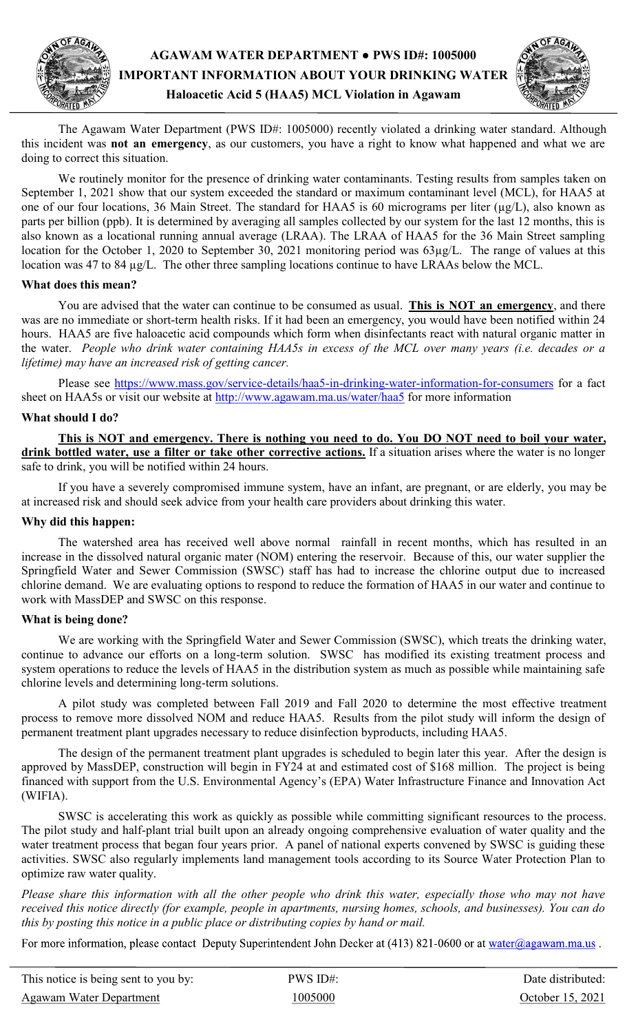

# **AGAWAM WATER DEPARTMENT ● PWS ID#: 1005000 IMPORTANT INFORMATION ABOUT YOUR DRINKING WATER Haloacetic Acid 5 (HAA5) MCL Violation in Agawam**



The Agawam Water Department (PWS ID#: 1005000) recently violated a drinking water standard. Although this incident was **not an emergency**, as our customers, you have a right to know what happened and what we are doing to correct this situation.

 We routinely monitor for the presence of drinking water contaminants. Testing results from samples taken on September 1, 2021 show that our system exceeded the standard or maximum contaminant level (MCL), for HAA5 at one of our four locations, 36 Main Street. The standard for HAA5 is 60 micrograms per liter (µg/L), also known as parts per billion (ppb). It is determined by averaging all samples collected by our system for the last 12 months, this is also known as a locational running annual average (LRAA). The LRAA of HAA5 for the 36 Main Street sampling location for the October 1, 2020 to September 30, 2021 monitoring period was  $63\mu g/L$ . The range of values at this location was 47 to 84 µg/L. The other three sampling locations continue to have LRAAs below the MCL.

### **What does this mean?**

 You are advised that the water can continue to be consumed as usual. **This is NOT an emergency**, and there was are no immediate or short-term health risks. If it had been an emergency, you would have been notified within 24 hours. HAA5 are five haloacetic acid compounds which form when disinfectants react with natural organic matter in the water. *People who drink water containing HAA5s in excess of the MCL over many years (i.e. decades or a lifetime) may have an increased risk of getting cancer.* 

Please see [https://www.mass.gov/service](https://www.mass.gov/service-details/haa5-in-drinking-water-information-for-consumers)-details/haa5-in-drinking-water-information-for-consumers for a fact sheet on HAA5s or visit our website at http://www.agawam.ma.us/water/haa5 for more information

## **What should I do?**

 **This is NOT and emergency. There is nothing you need to do. You DO NOT need to boil your water, drink bottled water, use a filter or take other corrective actions.** If a situation arises where the water is no longer safe to drink, you will be notified within 24 hours.

 If you have a severely compromised immune system, have an infant, are pregnant, or are elderly, you may be at increased risk and should seek advice from your health care providers about drinking this water.

### **Why did this happen:**

The watershed area has received well above normal rainfall in recent months, which has resulted in an increase in the dissolved natural organic mater (NOM) entering the reservoir. Because of this, our water supplier the Springfield Water and Sewer Commission (SWSC) staff has had to increase the chlorine output due to increased chlorine demand. We are evaluating options to respond to reduce the formation of HAA5 in our water and continue to work with MassDEP and SWSC on this response.

### **What is being done?**

We are working with the Springfield Water and Sewer Commission (SWSC), which treats the drinking water, continue to advance our efforts on a long-term solution. SWSC has modified its existing treatment process and system operations to reduce the levels of HAA5 in the distribution system as much as possible while maintaining safe chlorine levels and determining long-term solutions.

A pilot study was completed between Fall 2019 and Fall 2020 to determine the most effective treatment process to remove more dissolved NOM and reduce HAA5. Results from the pilot study will inform the design of permanent treatment plant upgrades necessary to reduce disinfection byproducts, including HAA5.

The design of the permanent treatment plant upgrades is scheduled to begin later this year. After the design is approved by MassDEP, construction will begin in FY24 at and estimated cost of \$168 million. The project is being financed with support from the U.S. Environmental Agency's (EPA) Water Infrastructure Finance and Innovation Act (WIFIA).

SWSC is accelerating this work as quickly as possible while committing significant resources to the process. The pilot study and half-plant trial built upon an already ongoing comprehensive evaluation of water quality and the water treatment process that began four years prior. A panel of national experts convened by SWSC is guiding these activities. SWSC also regularly implements land management tools according to its Source Water Protection Plan to optimize raw water quality.

*Please share this information with all the other people who drink this water, especially those who may not have received this notice directly (for example, people in apartments, nursing homes, schools, and businesses). You can do this by posting this notice in a public place or distributing copies by hand or mail.*

For more information, please contact Deputy Superintendent John Decker at (413) 821-0600 or at water@agawam.ma.us.